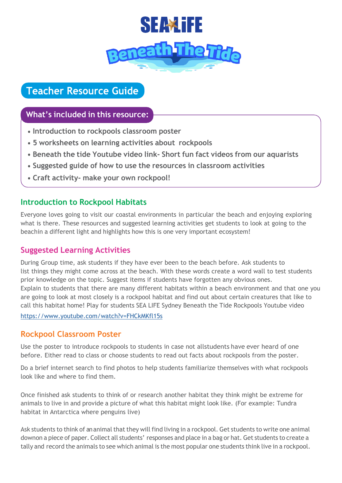

# **Teacher Resource Guide**

# **What's included in this resource:**

- **Introduction to rockpools classroom poster**
- **5 worksheets on learning activities about rockpools**
- **Beneath the tide Youtube video link- Short fun fact videos from our aquarists**
- **Suggested guide of how to use the resources in classroom activities**
- **Craft activity- make your own rockpool!**

# **Introduction to Rockpool Habitats**

Everyone loves going to visit our coastal environments in particular the beach and enjoying exploring what is there. These resources and suggested learning activities get students to look at going to the beachin a different light and highlights how this is one very important ecosystem!

# **Suggested Learning Activities**

During Group time, ask students if they have ever been to the beach before. Ask students to list things they might come across at the beach. With these words create a word wall to test students prior knowledge on the topic. Suggest items if students have forgotten any obvious ones. Explain to students that there are many different habitats within a beach environment and that one you are going to look at most closely is a rockpool habitat and find out about certain creatures that like to call this habitat home! Play for students SEA LIFE Sydney Beneath the Tide Rockpools Youtube video

<https://www.youtube.com/watch?v=FHCkMKfl15s>

# **Rockpool Classroom Poster**

Use the poster to introduce rockpools to students in case not allstudents have ever heard of one before. Either read to class or choose students to read out facts about rockpools from the poster.

Do a brief internet search to find photos to help students familiarize themselves with what rockpools look like and where to find them.

Once finished ask students to think of or research another habitat they think might be extreme for animals to live in and provide a picture of what this habitat might look like. (For example: Tundra habitat in Antarctica where penguins live)

Ask students to think of an animal that they will find living in a rockpool. Get students to write one animal downon a piece of paper. Collect all students' responses and place in a bag or hat. Get students to create a tally and record the animals to see which animal is the most popular one students think live in a rockpool.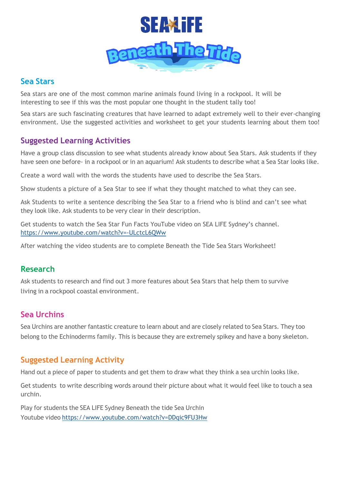

#### **Sea Stars**

Sea stars are one of the most common marine animals found living in a rockpool. It will be interesting to see if this was the most popular one thought in the student tally too!

Sea stars are such fascinating creatures that have learned to adapt extremely well to their ever-changing environment. Use the suggested activities and worksheet to get your students learning about them too!

# **Suggested Learning Activities**

Have a group class discussion to see what students already know about Sea Stars. Ask students if they have seen one before- in a rockpool or in an aquarium! Ask students to describe what a Sea Star looks like.

Create a word wall with the words the students have used to describe the Sea Stars.

Show students a picture of a Sea Star to see if what they thought matched to what they can see.

Ask Students to write a sentence describing the Sea Star to a friend who is blind and can't see what they look like. Ask students to be very clear in their description.

Get students to watch the Sea Star Fun Facts YouTube video on SEA LIFE Sydney's channel. <https://www.youtube.com/watch?v=-ULctcL6QWw>

After watching the video students are to complete Beneath the Tide Sea Stars Worksheet!

# **Research**

Ask students to research and find out 3 more features about Sea Stars that help them to survive living in a rockpool coastal environment.

# **Sea Urchins**

Sea Urchins are another fantastic creature to learn about and are closely related to Sea Stars. They too belong to the Echinoderms family. This is because they are extremely spikey and have a bony skeleton.

# **Suggested Learning Activity**

Hand out a piece of paper to students and get them to draw what they think a sea urchin looks like.

Get students to write describing words around their picture about what it would feel like to touch a sea urchin.

Play for students the SEA LIFE Sydney Beneath the tide Sea Urchin Youtube video <https://www.youtube.com/watch?v=DDqic9FU3Hw>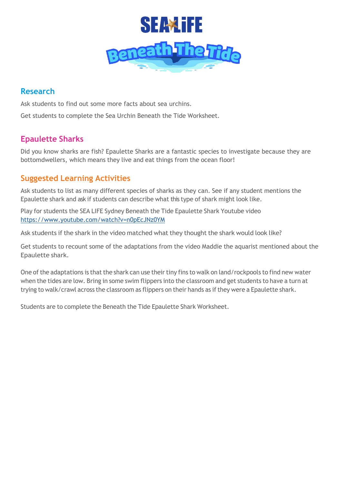

# **Research**

Ask students to find out some more facts about sea urchins. Get students to complete the Sea Urchin Beneath the Tide Worksheet.

# **Epaulette Sharks**

Did you know sharks are fish? Epaulette Sharks are a fantastic species to investigate because they are bottomdwellers, which means they live and eat things from the ocean floor!

# **Suggested Learning Activities**

Ask students to list as many different species of sharks as they can. See if any student mentions the Epaulette shark and ask if students can describe what this type of shark might look like.

Play for students the SEA LIFE Sydney Beneath the Tide Epaulette Shark Youtube video <https://www.youtube.com/watch?v=n0pEcJNz0YM>

Ask students if the shark in the video matched what they thought the shark would look like?

Get students to recount some of the adaptations from the video Maddie the aquarist mentioned about the Epaulette shark.

One of the adaptations is that the shark can use their tiny fins to walk on land/rockpools to find new water when the tides are low. Bring in some swim flippers into the classroom and get students to have a turn at trying to walk/crawl across the classroom as flippers on their hands as if they were a Epaulette shark.

Students are to complete the Beneath the Tide Epaulette Shark Worksheet.